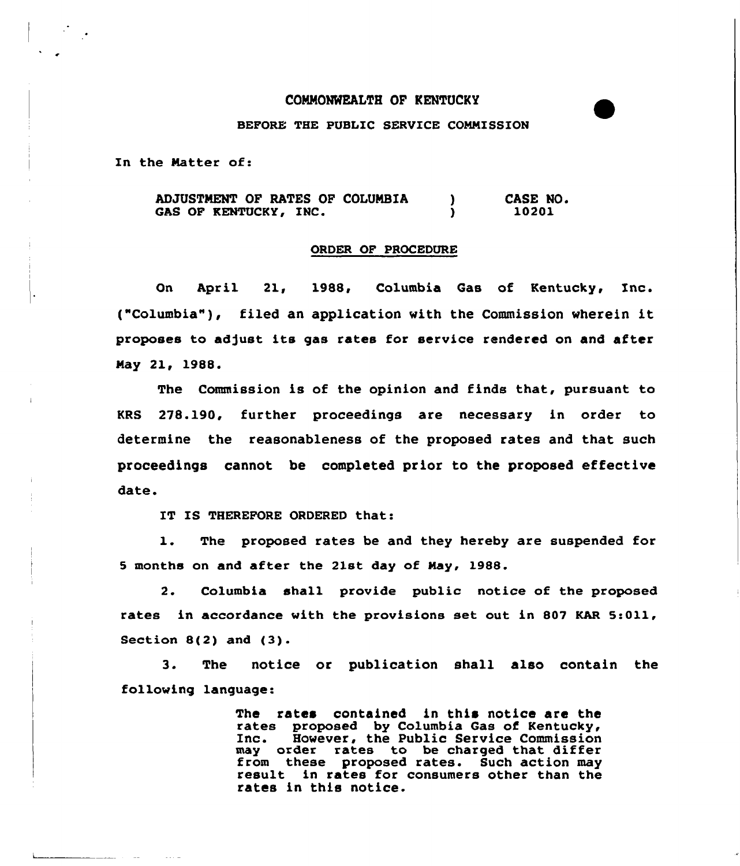## COMMONWEALTH OF KENTUCKY

## BEFORE THE PUBLIC SERVICE CONNISSION

In the Natter of:

ADJUSTMENT OF RATES OF COLUMBIA CASE NO.  $\mathbf{L}$ GAS OF KENTUCKY, INC. 10201  $\mathbf{v}$ 

## ORDER OF PROCEDURE

On April 21, 1988, Columbia Gas of Kentucky, Inc. ("Columbia" ), filed an application with the Commission wherein it proposes to adjust its gas rates for service rendered on and after Nay 21, 1988.

The Commission is of the opinion and finds that, pursuant to KRS 278.190, further proceedings are necessary in order to determine the reasonableness of the proposed rates and that such proceedings cannot be completed prior to the proposed effective date.

IT IS THEREFORE ORDERED that:

1. The proposed rates be and they hereby are suspended for 5 months on and after the 21st day of Nay, 1988.

2. Columbia shall provide public notice of the proposed rates in accordance with the provisions set out in 807 KAR 5:011, Section B(2) and (3).

3. The notice or publication shall also contain the following language:

> The rates contained in this notice are the rates proposed by Columbia Gas of Kentucky, Inc. However, the Public Service Commission may order rates to be charged that difference from these proposed rates. Such action may<br>result in rates for consumers other than the result in rates for consumers other than the rates in this notice.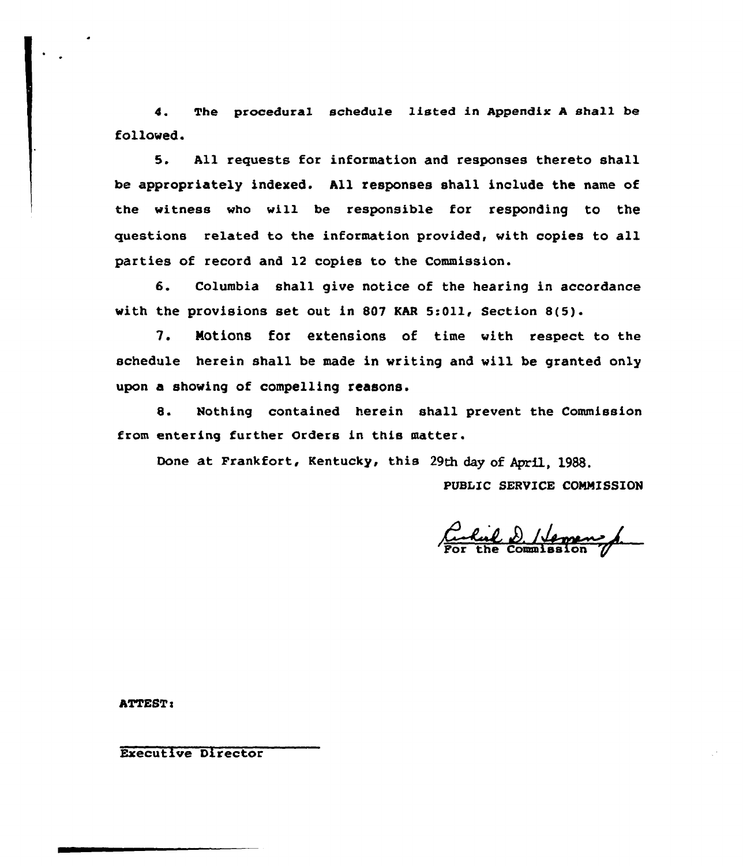4. The procedural schedule listed in Appendix <sup>A</sup> shall be followed.

5. All requests for information and responses thereto shall be appropriately indexed. All responses shall include the name of the witness who will be responsible for responding to the questions related to the information provided, with copies to all parties of record and 12 copies to the Commission.

6. Columbia shall give notice of the hearing in accordance with the provisions set out in 807 KAR 5:011, Section 8(5).

7. Notions for extensions of time with respect to the schedule herein shall be made in writing and will be granted only upon a showing of compelling reasons.

8. Nothing contained herein shall prevent the Commission from entering further Orders in this matter.

Done at Frankfort, Kentucky, this 29th day of April, 1988.

PUBLIC SERVICE COMMISSION

Cul D. / Vermen

**ATTEST:** 

Executive Director